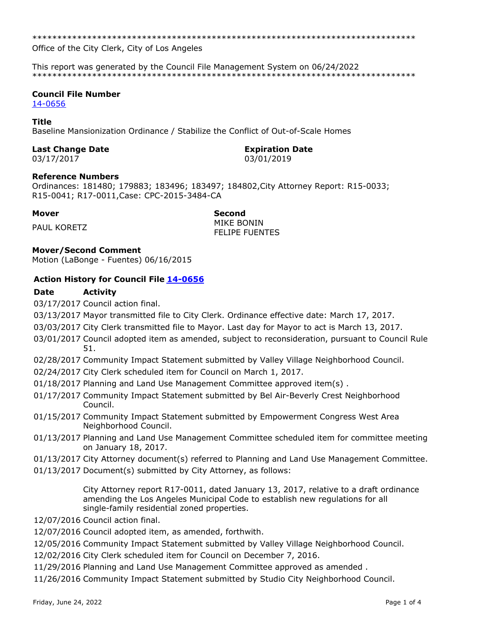\*\*\*\*\*\*\*\*\*\*\*\*\*\*\*\*\*\*\*\*\*\*\*\*\*\*\*\*\*\*\*\*\*\*\*\*\*\*\*\*\*\*\*\*\*\*\*\*\*\*\*\*\*\*\*\*\*\*\*\*\*\*\*\*\*\*\*\*\*\*\*\*\*\*\*\*\*

Office of the City Clerk, City of Los Angeles

This report was generated by the Council File Management System on 06/24/2022 \*\*\*\*\*\*\*\*\*\*\*\*\*\*\*\*\*\*\*\*\*\*\*\*\*\*\*\*\*\*\*\*\*\*\*\*\*\*\*\*\*\*\*\*\*\*\*\*\*\*\*\*\*\*\*\*\*\*\*\*\*\*\*\*\*\*\*\*\*\*\*\*\*\*\*\*\*

# **Council File Number**

[14-0656](https://cityclerk.lacity.org/lacityclerkconnect/index.cfm?fa=ccfi.viewrecord&cfnumber=14-0656)

#### **Title**

Baseline Mansionization Ordinance / Stabilize the Conflict of Out-of-Scale Homes

## **Last Change Date Expiration Date**

03/17/2017 03/01/2019

### **Reference Numbers**

Ordinances: 181480; 179883; 183496; 183497; 184802,City Attorney Report: R15-0033; R15-0041; R17-0011,Case: CPC-2015-3484-CA

**Mover Second** PAUL KORETZ MIKE BONIN FELIPE FUENTES

### **Mover/Second Comment**

Motion (LaBonge - Fuentes) 06/16/2015

### **Action History for Council File [14-0656](https://cityclerk.lacity.org/lacityclerkconnect/index.cfm?fa=ccfi.viewrecord&cfnumber=14-0656)**

### **Date Activity**

03/17/2017 Council action final.

- 03/13/2017 Mayor transmitted file to City Clerk. Ordinance effective date: March 17, 2017.
- 03/03/2017 City Clerk transmitted file to Mayor. Last day for Mayor to act is March 13, 2017.
- 03/01/2017 Council adopted item as amended, subject to reconsideration, pursuant to Council Rule 51.
- 02/28/2017 Community Impact Statement submitted by Valley Village Neighborhood Council.
- 02/24/2017 City Clerk scheduled item for Council on March 1, 2017.
- 01/18/2017 Planning and Land Use Management Committee approved item(s) .
- 01/17/2017 Community Impact Statement submitted by Bel Air-Beverly Crest Neighborhood Council.
- 01/15/2017 Community Impact Statement submitted by Empowerment Congress West Area Neighborhood Council.
- 01/13/2017 Planning and Land Use Management Committee scheduled item for committee meeting on January 18, 2017.
- 01/13/2017 City Attorney document(s) referred to Planning and Land Use Management Committee.
- 01/13/2017 Document(s) submitted by City Attorney, as follows:

City Attorney report R17-0011, dated January 13, 2017, relative to a draft ordinance amending the Los Angeles Municipal Code to establish new regulations for all single-family residential zoned properties.

- 12/07/2016 Council action final.
- 12/07/2016 Council adopted item, as amended, forthwith.
- 12/05/2016 Community Impact Statement submitted by Valley Village Neighborhood Council.
- 12/02/2016 City Clerk scheduled item for Council on December 7, 2016.
- 11/29/2016 Planning and Land Use Management Committee approved as amended .
- 11/26/2016 Community Impact Statement submitted by Studio City Neighborhood Council.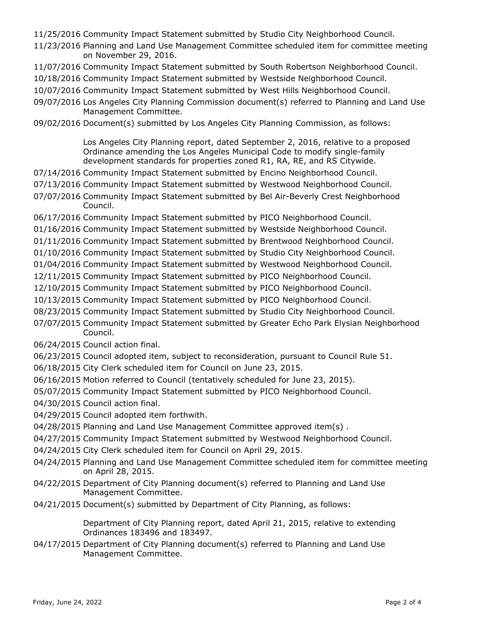11/25/2016 Community Impact Statement submitted by Studio City Neighborhood Council.

- 11/23/2016 Planning and Land Use Management Committee scheduled item for committee meeting on November 29, 2016.
- 11/07/2016 Community Impact Statement submitted by South Robertson Neighborhood Council.
- 10/18/2016 Community Impact Statement submitted by Westside Neighborhood Council.
- 10/07/2016 Community Impact Statement submitted by West Hills Neighborhood Council.
- 09/07/2016 Los Angeles City Planning Commission document(s) referred to Planning and Land Use Management Committee.
- 09/02/2016 Document(s) submitted by Los Angeles City Planning Commission, as follows:

Los Angeles City Planning report, dated September 2, 2016, relative to a proposed Ordinance amending the Los Angeles Municipal Code to modify single-family development standards for properties zoned R1, RA, RE, and RS Citywide.

- 07/14/2016 Community Impact Statement submitted by Encino Neighborhood Council.
- 07/13/2016 Community Impact Statement submitted by Westwood Neighborhood Council.
- 07/07/2016 Community Impact Statement submitted by Bel Air-Beverly Crest Neighborhood Council.
- 06/17/2016 Community Impact Statement submitted by PICO Neighborhood Council.
- 01/16/2016 Community Impact Statement submitted by Westside Neighborhood Council.
- 01/11/2016 Community Impact Statement submitted by Brentwood Neighborhood Council.
- 01/10/2016 Community Impact Statement submitted by Studio City Neighborhood Council.
- 01/04/2016 Community Impact Statement submitted by Westwood Neighborhood Council.
- 12/11/2015 Community Impact Statement submitted by PICO Neighborhood Council.
- 12/10/2015 Community Impact Statement submitted by PICO Neighborhood Council.
- 10/13/2015 Community Impact Statement submitted by PICO Neighborhood Council.
- 08/23/2015 Community Impact Statement submitted by Studio City Neighborhood Council.
- 07/07/2015 Community Impact Statement submitted by Greater Echo Park Elysian Neighborhood Council.
- 06/24/2015 Council action final.
- 06/23/2015 Council adopted item, subject to reconsideration, pursuant to Council Rule 51.
- 06/18/2015 City Clerk scheduled item for Council on June 23, 2015.
- 06/16/2015 Motion referred to Council (tentatively scheduled for June 23, 2015).
- 05/07/2015 Community Impact Statement submitted by PICO Neighborhood Council.
- 04/30/2015 Council action final.
- 04/29/2015 Council adopted item forthwith.
- 04/28/2015 Planning and Land Use Management Committee approved item(s) .
- 04/27/2015 Community Impact Statement submitted by Westwood Neighborhood Council.
- 04/24/2015 City Clerk scheduled item for Council on April 29, 2015.
- 04/24/2015 Planning and Land Use Management Committee scheduled item for committee meeting on April 28, 2015.
- 04/22/2015 Department of City Planning document(s) referred to Planning and Land Use Management Committee.
- 04/21/2015 Document(s) submitted by Department of City Planning, as follows:

Department of City Planning report, dated April 21, 2015, relative to extending Ordinances 183496 and 183497.

04/17/2015 Department of City Planning document(s) referred to Planning and Land Use Management Committee.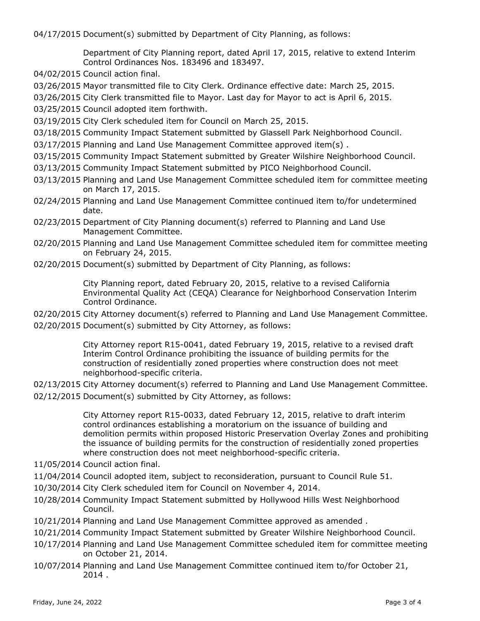04/17/2015 Document(s) submitted by Department of City Planning, as follows:

Department of City Planning report, dated April 17, 2015, relative to extend Interim Control Ordinances Nos. 183496 and 183497.

04/02/2015 Council action final.

03/26/2015 Mayor transmitted file to City Clerk. Ordinance effective date: March 25, 2015.

03/26/2015 City Clerk transmitted file to Mayor. Last day for Mayor to act is April 6, 2015.

03/25/2015 Council adopted item forthwith.

- 03/19/2015 City Clerk scheduled item for Council on March 25, 2015.
- 03/18/2015 Community Impact Statement submitted by Glassell Park Neighborhood Council.
- 03/17/2015 Planning and Land Use Management Committee approved item(s) .
- 03/15/2015 Community Impact Statement submitted by Greater Wilshire Neighborhood Council.
- 03/13/2015 Community Impact Statement submitted by PICO Neighborhood Council.
- 03/13/2015 Planning and Land Use Management Committee scheduled item for committee meeting on March 17, 2015.
- 02/24/2015 Planning and Land Use Management Committee continued item to/for undetermined date.
- 02/23/2015 Department of City Planning document(s) referred to Planning and Land Use Management Committee.
- 02/20/2015 Planning and Land Use Management Committee scheduled item for committee meeting on February 24, 2015.
- 02/20/2015 Document(s) submitted by Department of City Planning, as follows:

City Planning report, dated February 20, 2015, relative to a revised California Environmental Quality Act (CEQA) Clearance for Neighborhood Conservation Interim Control Ordinance.

02/20/2015 City Attorney document(s) referred to Planning and Land Use Management Committee. 02/20/2015 Document(s) submitted by City Attorney, as follows:

> City Attorney report R15-0041, dated February 19, 2015, relative to a revised draft Interim Control Ordinance prohibiting the issuance of building permits for the construction of residentially zoned properties where construction does not meet neighborhood-specific criteria.

02/13/2015 City Attorney document(s) referred to Planning and Land Use Management Committee. 02/12/2015 Document(s) submitted by City Attorney, as follows:

> City Attorney report R15-0033, dated February 12, 2015, relative to draft interim control ordinances establishing a moratorium on the issuance of building and demolition permits within proposed Historic Preservation Overlay Zones and prohibiting the issuance of building permits for the construction of residentially zoned properties where construction does not meet neighborhood-specific criteria.

- 11/05/2014 Council action final.
- 11/04/2014 Council adopted item, subject to reconsideration, pursuant to Council Rule 51.
- 10/30/2014 City Clerk scheduled item for Council on November 4, 2014.
- 10/28/2014 Community Impact Statement submitted by Hollywood Hills West Neighborhood Council.
- 10/21/2014 Planning and Land Use Management Committee approved as amended .
- 10/21/2014 Community Impact Statement submitted by Greater Wilshire Neighborhood Council.
- 10/17/2014 Planning and Land Use Management Committee scheduled item for committee meeting on October 21, 2014.
- 10/07/2014 Planning and Land Use Management Committee continued item to/for October 21, 2014 .